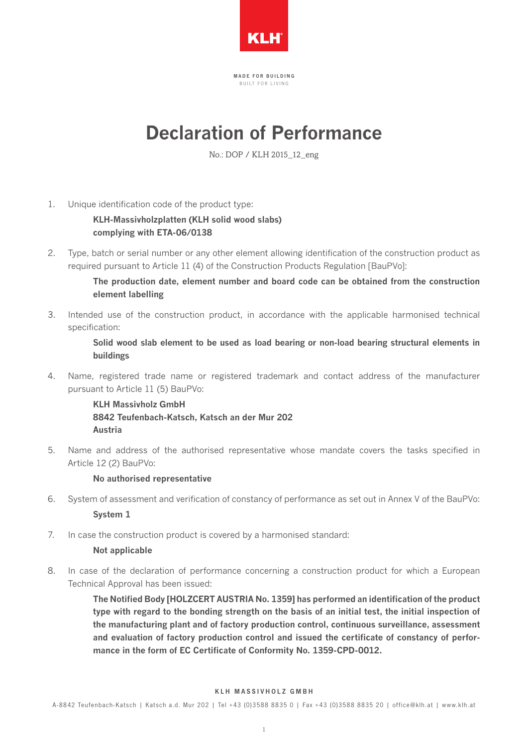

MADE FOR BUILDING B I I I L T F O R L I V I N G

# **Declaration of Performance**

No.: DOP / KLH 2015\_12\_eng

1. Unique identification code of the product type:

**KLH-Massivholzplatten (KLH solid wood slabs) complying with ETA-06/0138**

2. Type, batch or serial number or any other element allowing identification of the construction product as required pursuant to Article 11 (4) of the Construction Products Regulation [BauPVo]:

> **The production date, element number and board code can be obtained from the construction element labelling**

3. Intended use of the construction product, in accordance with the applicable harmonised technical specification:

> **Solid wood slab element to be used as load bearing or non-load bearing structural elements in buildings**

4. Name, registered trade name or registered trademark and contact address of the manufacturer pursuant to Article 11 (5) BauPVo: 

> **KLH Massivholz GmbH 8842 Teufenbach-Katsch, Katsch an der Mur 202 Austria**

5. Name and address of the authorised representative whose mandate covers the tasks specified in Article 12 (2) BauPVo:

## **No authorised representative**

- 6. System of assessment and verification of constancy of performance as set out in Annex V of the BauPVo: **System 1**
- 7. In case the construction product is covered by a harmonised standard:

## **Not applicable**

8. In case of the declaration of performance concerning a construction product for which a European Technical Approval has been issued:

> **The Notified Body [HOLZCERT AUSTRIA No. 1359] has performed an identification of the product type with regard to the bonding strength on the basis of an initial test, the initial inspection of the manufacturing plant and of factory production control, continuous surveillance, assessment and evaluation of factory production control and issued the certificate of constancy of performance in the form of EC Certificate of Conformity No. 1359-CPD-0012.**

#### KLH MASSIVHOLZ GMBH

A-8842 Teufenbach-Katsch | Katsch a.d. Mur 202 | Tel +43 (0)3588 8835 0 | Fax +43 (0)3588 8835 20 | of fice@klh.at | www.klh.at